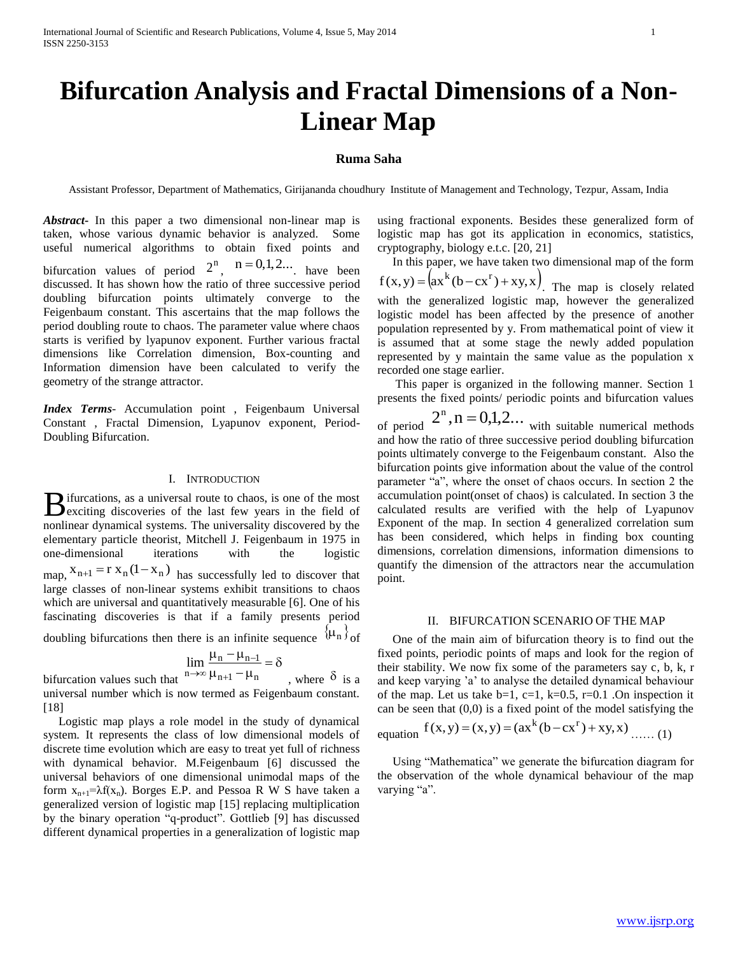# **Bifurcation Analysis and Fractal Dimensions of a Non-Linear Map**

# **Ruma Saha**

Assistant Professor, Department of Mathematics, Girijananda choudhury Institute of Management and Technology, Tezpur, Assam, India

*Abstract***-** In this paper a two dimensional non-linear map is taken, whose various dynamic behavior is analyzed. Some useful numerical algorithms to obtain fixed points and bifurcation values of period  $2^n$ ,  $n = 0,1,2...$  have been discussed. It has shown how the ratio of three successive period doubling bifurcation points ultimately converge to the Feigenbaum constant. This ascertains that the map follows the period doubling route to chaos. The parameter value where chaos starts is verified by lyapunov exponent. Further various fractal dimensions like Correlation dimension, Box-counting and Information dimension have been calculated to verify the geometry of the strange attractor.

*Index Terms*- Accumulation point , Feigenbaum Universal Constant , Fractal Dimension, Lyapunov exponent, Period-Doubling Bifurcation.

# I. INTRODUCTION

ifurcations, as a universal route to chaos, is one of the most  $B$  ifurcations, as a universal route to chaos, is one of the most<br>exciting discoveries of the last few years in the field of nonlinear dynamical systems. The universality discovered by the elementary particle theorist, Mitchell J. Feigenbaum in 1975 in one-dimensional iterations with the logistic map,  $x_{n+1} = r x_n (1-x_n)$  has successfully led to discover that large classes of non-linear systems exhibit transitions to chaos which are universal and quantitatively measurable [6]. One of his fascinating discoveries is that if a family presents period doubling bifurcations then there is an infinite sequence  $\{\mu_n\}_{\text{of}}$ 

$$
\lim_{n \to \infty} \frac{\mu_n - \mu_{n-1}}{\mu_n} = \delta
$$

 $\lim_{n \to \infty} \frac{\mu_n - \mu_{n-1}}{\mu_{n+1} - \mu_n}$ <br>bifurcation values such that , where  $\delta$  is a universal number which is now termed as Feigenbaum constant. [18]

 Logistic map plays a role model in the study of dynamical system. It represents the class of low dimensional models of discrete time evolution which are easy to treat yet full of richness with dynamical behavior. M.Feigenbaum [6] discussed the universal behaviors of one dimensional unimodal maps of the form  $x_{n+1} = \lambda f(x_n)$ . Borges E.P. and Pessoa R W S have taken a generalized version of logistic map [15] replacing multiplication by the binary operation "q-product". Gottlieb [9] has discussed different dynamical properties in a generalization of logistic map

using fractional exponents. Besides these generalized form of logistic map has got its application in economics, statistics, cryptography, biology e.t.c. [20, 21]

 In this paper, we have taken two dimensional map of the form  $f(x,y) = (ax^{k}(b - cx^{r}) + xy, x)$ . The map is closely related with the generalized logistic map, however the generalized logistic model has been affected by the presence of another population represented by y. From mathematical point of view it is assumed that at some stage the newly added population represented by y maintain the same value as the population x recorded one stage earlier.

 This paper is organized in the following manner. Section 1 presents the fixed points/ periodic points and bifurcation values

of period  $2^n$ ,  $n = 0,1,2...$  with suitable numerical methods and how the ratio of three successive period doubling bifurcation points ultimately converge to the Feigenbaum constant. Also the bifurcation points give information about the value of the control parameter "a", where the onset of chaos occurs. In section 2 the accumulation point(onset of chaos) is calculated. In section 3 the calculated results are verified with the help of Lyapunov Exponent of the map. In section 4 generalized correlation sum has been considered, which helps in finding box counting dimensions, correlation dimensions, information dimensions to quantify the dimension of the attractors near the accumulation point.

#### II. BIFURCATION SCENARIO OF THE MAP

 One of the main aim of bifurcation theory is to find out the fixed points, periodic points of maps and look for the region of their stability. We now fix some of the parameters say c, b, k, r and keep varying 'a' to analyse the detailed dynamical behaviour of the map. Let us take  $b=1$ ,  $c=1$ ,  $k=0.5$ ,  $r=0.1$ . On inspection it can be seen that  $(0,0)$  is a fixed point of the model satisfying the

equation 
$$
f(x, y) = (x, y) = (ax^k(b - cx^r) + xy, x)
$$
 .....(1)

 Using "Mathematica" we generate the bifurcation diagram for the observation of the whole dynamical behaviour of the map varying "a".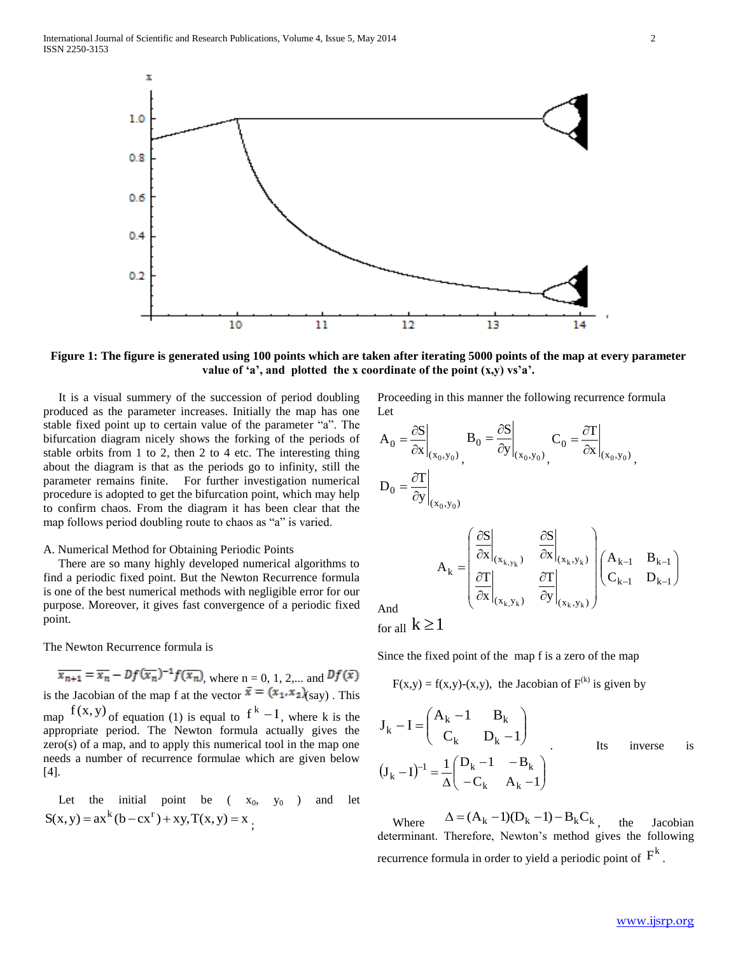

**Figure 1: The figure is generated using 100 points which are taken after iterating 5000 points of the map at every parameter value of 'a', and plotted the x coordinate of the point (x,y) vs'a'.**

 It is a visual summery of the succession of period doubling produced as the parameter increases. Initially the map has one stable fixed point up to certain value of the parameter "a". The bifurcation diagram nicely shows the forking of the periods of stable orbits from 1 to 2, then 2 to 4 etc. The interesting thing about the diagram is that as the periods go to infinity, still the parameter remains finite. For further investigation numerical procedure is adopted to get the bifurcation point, which may help to confirm chaos. From the diagram it has been clear that the map follows period doubling route to chaos as "a" is varied.

# A. Numerical Method for Obtaining Periodic Points

 There are so many highly developed numerical algorithms to find a periodic fixed point. But the Newton Recurrence formula is one of the best numerical methods with negligible error for our purpose. Moreover, it gives fast convergence of a periodic fixed point.

The Newton Recurrence formula is

 $\overline{x_{n+1}} = \overline{x_n} - Df(\overline{x_n})^{-1}f(\overline{x_n})$ , where n = 0, 1, 2,... and  $Df(\overline{x})$ is the Jacobian of the map f at the vector  $\bar{x} = (x_1, x_2)$ <sub>(say)</sub>. This map  $f(x, y)$  of equation (1) is equal to  $f^{k} - I$ , where k is the appropriate period. The Newton formula actually gives the zero(s) of a map, and to apply this numerical tool in the map one needs a number of recurrence formulae which are given below [4].

Let the initial point be  $(x_0, y_0)$  and let  $S(x, y) = ax^{k}(b - cx^{r}) + xy, T(x, y) = x$ ;

Proceeding in this manner the following recurrence formula Let

$$
A_0 = \frac{\partial S}{\partial x}\Big|_{(x_0, y_0)}, \qquad B_0 = \frac{\partial S}{\partial y}\Big|_{(x_0, y_0)}, \qquad C_0 = \frac{\partial T}{\partial x}\Big|_{(x_0, y_0)},
$$

$$
D_0 = \frac{\partial T}{\partial y}\Big|_{(x_0, y_0)}
$$

$$
\left(\frac{\partial S}{\partial x}\Big|_{(x_k, y_k)}\right) \frac{\partial S}{\partial x}\Big|_{(x_k, y_k)}\Big|_{(A_{k-1}, B_{k-1})}
$$

 $\left(\left.\partial x\right|_{(x_k,y_k)}\left.\partial y\right|_{(x_k,y_k)}\right)$ 

 $\partial$ 

 $k = |\sigma \Gamma|$   $\sigma \Gamma$   $|C_{k-1}$  D

y T

 $(x_k, y_k)$   $(y|_{(x_k, y_k)})$ 

 $k, y_k$ ,  $k \leftarrow (x_k, y_k)$ 

And

for all  $k \geq 1$ 

Since the fixed point of the map f is a zero of the map

 $\left(\left.\partial x\right|_{(x_k,y_k)}\right)$   $\partial$ 

 $A_k = \begin{bmatrix} x_{k,y_k} & & (x_k, y_k) \\ \infty & & \infty \end{bmatrix}$ 

L L

 $=$ 

 $\partial$  $\partial$ 

x T

$$
F(x,y) = f(x,y) - (x,y)
$$
, the Jacobian of  $F^{(k)}$  is given by

$$
J_{k} - I = \begin{pmatrix} A_{k} - 1 & B_{k} \\ C_{k} & D_{k} - 1 \end{pmatrix}
$$
  
\n
$$
(J_{k} - I)^{-1} = \frac{1}{\Delta} \begin{pmatrix} D_{k} - 1 & -B_{k} \\ -C_{k} & A_{k} - 1 \end{pmatrix}
$$
  
\nIts inverse is

 Where  $\Delta = (A_k - 1)(D_k - 1) - B_kC_k$ the Jacobian determinant. Therefore, Newton's method gives the following recurrence formula in order to yield a periodic point of  $F^k$  .

 $\overline{\phantom{a}}$  $\bigg)$ 

 $-1$   $v_{k-}$  $-1$   $\mathbf{D}_{k-}$  $_{k-1}$   $\boldsymbol{\nu}_{k-1}$  $_{k-1}$   $\mathbf{D}_{k-1}$ 

 $\overline{\phantom{a}}$  $\setminus$ 

 $\overline{\phantom{a}}$  $\overline{\phantom{a}}$  $\overline{\phantom{a}}$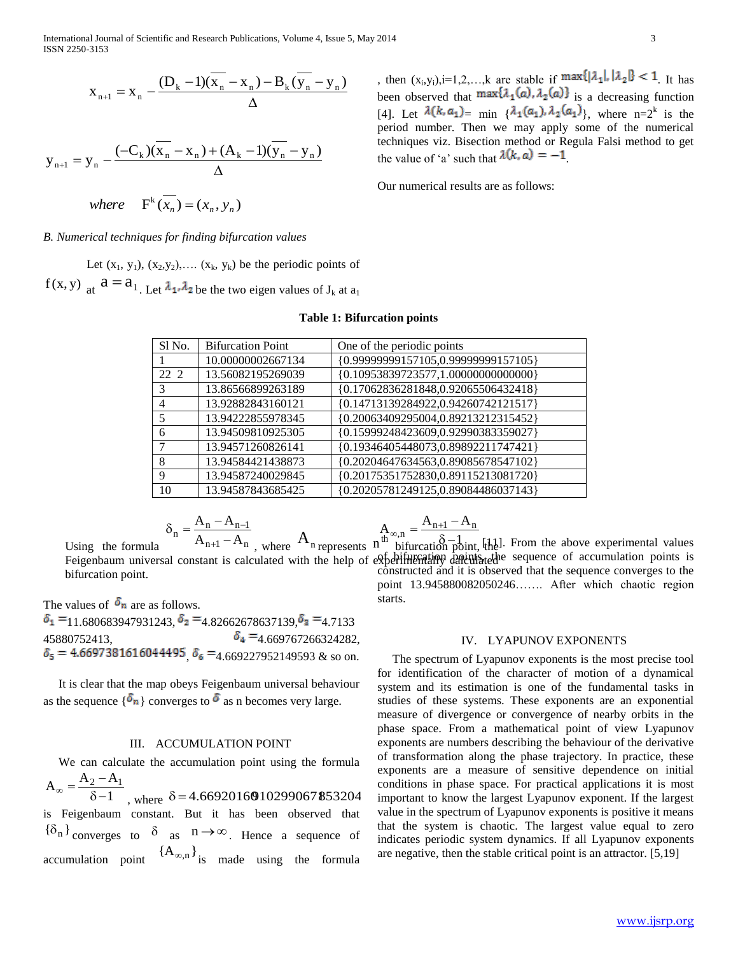International Journal of Scientific and Research Publications, Volume 4, Issue 5, May 2014 3 ISSN 2250-3153

$$
\mathbf{x}_{n+1} = \mathbf{x}_n - \frac{(\mathbf{D}_k - 1)(\mathbf{x}_n - \mathbf{x}_n) - \mathbf{B}_k(\mathbf{y}_n - \mathbf{y}_n)}{\Delta}
$$

$$
y_{n+1} = y_n - \frac{(-C_k)(x_n - x_n) + (A_k - 1)(y_n - y_n)}{\Delta}
$$

where  $F^k(\overline{x_n}) = (x_n, y_n)$ 

*B. Numerical techniques for finding bifurcation values*

Let  $(x_1, y_1)$ ,  $(x_2, y_2)$ ,....  $(x_k, y_k)$  be the periodic points of  $f(x, y)$  at  $a = a_{1}$ . Let  $\lambda_1, \lambda_2$  be the two eigen values of  $J_k$  at  $a_1$ 

### **Table 1: Bifurcation points**

| Sl No.                   | <b>Bifurcation Point</b> | One of the periodic points          |
|--------------------------|--------------------------|-------------------------------------|
|                          | 10.00000002667134        | {0.99999999157105,0.99999999157105} |
| 22.2                     | 13.56082195269039        | {0.10953839723577,1.00000000000000} |
| 3                        | 13.86566899263189        | {0.17062836281848,0.92065506432418} |
| 4                        | 13.92882843160121        | {0.14713139284922,0.94260742121517} |
| $\overline{\phantom{0}}$ | 13.94222855978345        | {0.20063409295004,0.89213212315452} |
| 6                        | 13.94509810925305        | {0.15999248423609,0.92990383359027} |
| 7                        | 13.94571260826141        | {0.19346405448073,0.89892211747421} |
| 8                        | 13.94584421438873        | {0.20204647634563,0.89085678547102} |
| 9                        | 13.94587240029845        | {0.20175351752830,0.89115213081720} |
| 10                       | 13.94587843685425        | {0.20205781249125,0.89084486037143} |

$$
\delta_n = \frac{A_n - A_{n-1}}{A_{n+1} - A_n}
$$
 where

$$
A_{\infty,n} = \frac{A_{n+1} - A_n}{b^{\text{if} t} \cdot \delta - 1}
$$

where  $A_n$  represents  $n^{\text{th}\infty,n}$  bifurcation point, the Feigenbaum universal constant is calculated with the help of experimentally dentity detective sequence of accumulation points is  $\[\n\infty, n = \frac{A_{n+1} - A_n}{\delta - 1}$  [[He  $\delta$ ]. From the above experimental values constructed and it is observed that the sequence converges to the point 13.945880082050246……. After which chaotic region starts.

The values of  $\delta_n$  are as follows.

Using the formula

bifurcation point.

 $\delta_1$  = 11.680683947931243,  $\delta_2$  = 4.82662678637139,  $\delta_3$  = 4.7133  $\delta_4 = 4.669767266324282,$  $\delta_5 = 4.6697381616044495, \delta_6 = 4.669227952149593$  & so on.

 It is clear that the map obeys Feigenbaum universal behaviour as the sequence  $\{\delta_n\}$  converges to  $\delta$  as n becomes very large.

# III. ACCUMULATION POINT

 We can calculate the accumulation point using the formula  $A_{\infty} = \frac{A_2 - A_1}{2}$ - $\infty =$ 

1  $\delta$ where  $\delta = 4.66920160910299067853204$ is Feigenbaum constant. But it has been observed that  ${\delta_n}$  converges to  $\delta$  as  $n \to \infty$ . Hence a sequence of accumulation point  ${A_{\infty,n}}$  is made using the formula

, then  $(x_i, y_i)$ ,  $i=1,2,...,k$  are stable if  $\max\{|x_i|, |x_2|\} \leq 1$ . It has been observed that  $\max\{\lambda_1(a), \lambda_2(a)\}\)$  is a decreasing function [4]. Let  $\lambda(k, a_1) = \min \{\lambda_1(a_1), \lambda_2(a_1)\},\}$  where  $n=2^k$  is the period number. Then we may apply some of the numerical techniques viz. Bisection method or Regula Falsi method to get

the value of 'a' such that  $\lambda(k, a) = -1$ .

Our numerical results are as follows:

#### IV. LYAPUNOV EXPONENTS

 The spectrum of Lyapunov exponents is the most precise tool for identification of the character of motion of a dynamical system and its estimation is one of the fundamental tasks in studies of these systems. These exponents are an exponential measure of divergence or convergence of nearby orbits in the phase space. From a mathematical point of view Lyapunov exponents are numbers describing the behaviour of the derivative of transformation along the phase trajectory. In practice, these exponents are a measure of sensitive dependence on initial conditions in phase space. For practical applications it is most important to know the largest Lyapunov exponent. If the largest value in the spectrum of Lyapunov exponents is positive it means that the system is chaotic. The largest value equal to zero indicates periodic system dynamics. If all Lyapunov exponents are negative, then the stable critical point is an attractor. [5,19]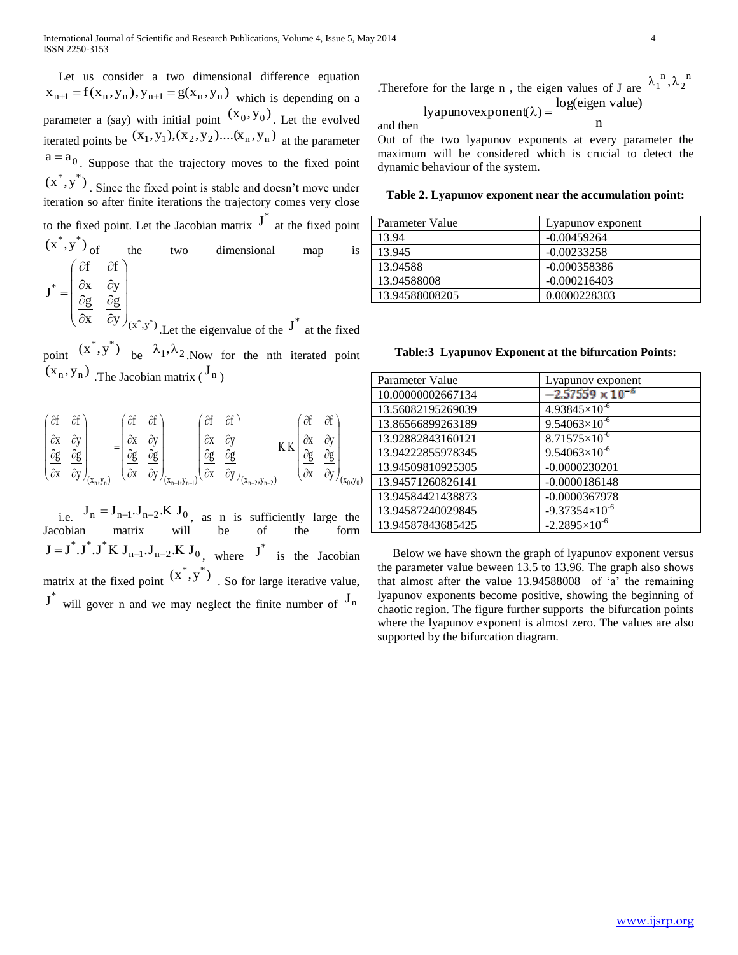Let us consider a two dimensional difference equation  $x_{n+1} = f(x_n, y_n), y_{n+1} = g(x_n, y_n)$  which is depending on a parameter a (say) with initial point  $(x_0, y_0)$ . Let the evolved iterated points be  $(x_1, y_1), (x_2, y_2)$ .... $(x_n, y_n)$  at the parameter  $a = a_0$ . Suppose that the trajectory moves to the fixed point  $(x^*, y^*)$ . Since the fixed point is stable and doesn't move under iteration so after finite iterations the trajectory comes very close to the fixed point. Let the Jacobian matrix  $J^*$  at the fixed point  $(x^*, y^*)$ of the two dimensional map is  $(x^*, y^*)$ \*  $y \int_{x^*} x^*$ g x g y f x f J  $\overline{\phantom{a}}$  $\overline{\phantom{a}}$  $\overline{\phantom{a}}$  $\overline{\phantom{a}}$ J  $\backslash$  $\mathsf{I}$  $\mathbf{I}$  $\mathbf{r}$  $\mathsf{I}$  $\setminus$ ſ  $\partial$  $\partial$  $\partial$  $\partial$  $\partial$  $\partial$  $\partial$  $\partial$  $=$ Let the eigenvalue of the  $J^*$  at the fixed

point  $(x^*, y^*)$ be  $\lambda_1, \lambda_2$ . Now for the nth iterated point  $(x_n, y_n)$  The Jacobian matrix  $\binom{J_n}{n}$ 

$$
\begin{pmatrix}\n\frac{\partial f}{\partial x} & \frac{\partial f}{\partial y} \\
\frac{\partial g}{\partial x} & \frac{\partial g}{\partial y}\n\end{pmatrix}_{(x_n, y_n)} = \begin{pmatrix}\n\frac{\partial f}{\partial x} & \frac{\partial f}{\partial y} \\
\frac{\partial g}{\partial x} & \frac{\partial g}{\partial y}\n\end{pmatrix}_{(x_{n-1}, y_{n-1})} \begin{pmatrix}\n\frac{\partial f}{\partial x} & \frac{\partial f}{\partial y} \\
\frac{\partial g}{\partial x} & \frac{\partial g}{\partial y}\n\end{pmatrix}_{(x_{n-2}, y_{n-2})} K K \begin{pmatrix}\n\frac{\partial f}{\partial x} & \frac{\partial f}{\partial y} \\
\frac{\partial g}{\partial x} & \frac{\partial g}{\partial y}\n\end{pmatrix}_{(x_0, y_0)}
$$

i.e.  $J_n = J_{n-1} \cdot J_{n-2} \cdot K J_0$ , as n is sufficiently large the Jacobian matrix will be of the form  $J = J^* . J^* . J^* K J_{n-1} . J_{n-2} . K J_0$ , where  $J^*$  is the Jacobian matrix at the fixed point  $(x^*, y^*)$ . So for large iterative value,  $J^*$  will gover n and we may neglect the finite number of  $J_n$ 

. Therefore for the large n, the eigen values of J are 
$$
\lambda_1^{n}, \lambda_2^{n}
$$

lyapunovexponent(λ) = 
$$
\frac{\log(eigen value)}{n}
$$

and then

Out of the two lyapunov exponents at every parameter the maximum will be considered which is crucial to detect the dynamic behaviour of the system.

#### **Table 2. Lyapunov exponent near the accumulation point:**

| Parameter Value | Lyapunov exponent |  |  |
|-----------------|-------------------|--|--|
| 13.94           | $-0.00459264$     |  |  |
| 13.945          | $-0.00233258$     |  |  |
| 13.94588        | $-0.000358386$    |  |  |
| 13.94588008     | $-0.000216403$    |  |  |
| 13.94588008205  | 0.0000228303      |  |  |

|  |  | Table: 3 Lyapunov Exponent at the bifurcation Points: |  |
|--|--|-------------------------------------------------------|--|
|  |  |                                                       |  |

| Parameter Value   | Lyapunov exponent         |
|-------------------|---------------------------|
| 10.00000002667134 | $-2.57559 \times 10^{-6}$ |
| 13.56082195269039 | $4.93845\times10^{-6}$    |
| 13.86566899263189 | $9.54063\times10^{-6}$    |
| 13.92882843160121 | $8.71575\times10^{-6}$    |
| 13.94222855978345 | $9.54063\times10^{-6}$    |
| 13.94509810925305 | $-0.0000230201$           |
| 13.94571260826141 | $-0.0000186148$           |
| 13.94584421438873 | $-0.0000367978$           |
| 13.94587240029845 | $-9.37354\times10^{-6}$   |
| 13.94587843685425 | $-2.2895\times10^{-6}$    |

 Below we have shown the graph of lyapunov exponent versus the parameter value beween 13.5 to 13.96. The graph also shows that almost after the value 13.94588008 of 'a' the remaining lyapunov exponents become positive, showing the beginning of chaotic region. The figure further supports the bifurcation points where the lyapunov exponent is almost zero. The values are also supported by the bifurcation diagram.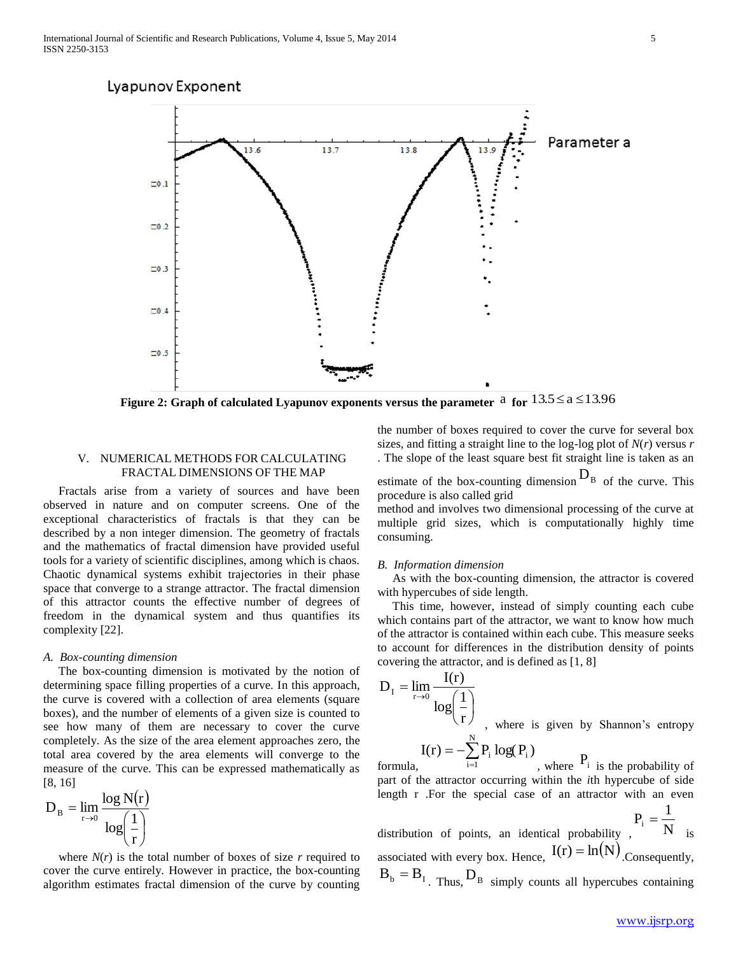

Figure 2: Graph of calculated Lyapunov exponents versus the parameter  $a$  for  $13.5 \le a \le 13.96$ 

# V. NUMERICAL METHODS FOR CALCULATING FRACTAL DIMENSIONS OF THE MAP

 Fractals arise from a variety of sources and have been observed in nature and on computer screens. One of the exceptional characteristics of fractals is that they can be described by a non integer dimension. The geometry of fractals and the mathematics of fractal dimension have provided useful tools for a variety of scientific disciplines, among which is chaos. Chaotic dynamical systems exhibit trajectories in their phase space that converge to a strange attractor. The fractal dimension of this attractor counts the effective number of degrees of freedom in the dynamical system and thus quantifies its complexity [22].

#### *A. Box-counting dimension*

 The box-counting dimension is motivated by the notion of determining space filling properties of a curve. In this approach, the curve is covered with a collection of area elements (square boxes), and the number of elements of a given size is counted to see how many of them are necessary to cover the curve completely. As the size of the area element approaches zero, the total area covered by the area elements will converge to the measure of the curve. This can be expressed mathematically as [8, 16]

$$
D_{\rm B} = \lim_{r \to 0} \frac{\log N(r)}{\log(\frac{1}{r})}
$$

where  $N(r)$  is the total number of boxes of size  $r$  required to cover the curve entirely. However in practice, the box-counting algorithm estimates fractal dimension of the curve by counting

the number of boxes required to cover the curve for several box sizes, and fitting a straight line to the log-log plot of *N*(*r*) versus *r*  . The slope of the least square best fit straight line is taken as an

estimate of the box-counting dimension  $D_B$  of the curve. This procedure is also called grid

method and involves two dimensional processing of the curve at multiple grid sizes, which is computationally highly time consuming.

#### *B. Information dimension*

 As with the box-counting dimension, the attractor is covered with hypercubes of side length.

 This time, however, instead of simply counting each cube which contains part of the attractor, we want to know how much of the attractor is contained within each cube. This measure seeks to account for differences in the distribution density of points covering the attractor, and is defined as [1, 8]

$$
D_{I} = \lim_{r \to 0} \frac{I(r)}{\log(\frac{1}{r})}
$$
, where is given by Shannon's entropy  

$$
I(r) = -\sum_{i=1}^{N} P_{i} \log(P_{i})
$$
where  $P_{i}$  is the probability of

formula, , where  $P_i$  is the probability of part of the attractor occurring within the *i*th hypercube of side length r .For the special case of an attractor with an even distribution of points, an identical probability. N  $P_i = \frac{1}{N!}$ is

associated with every box. Hence,  $I(r) = ln(N)$  Consequently,  $B_b = B_l$  Thus,  $D_b$  simply counts all hypercubes containing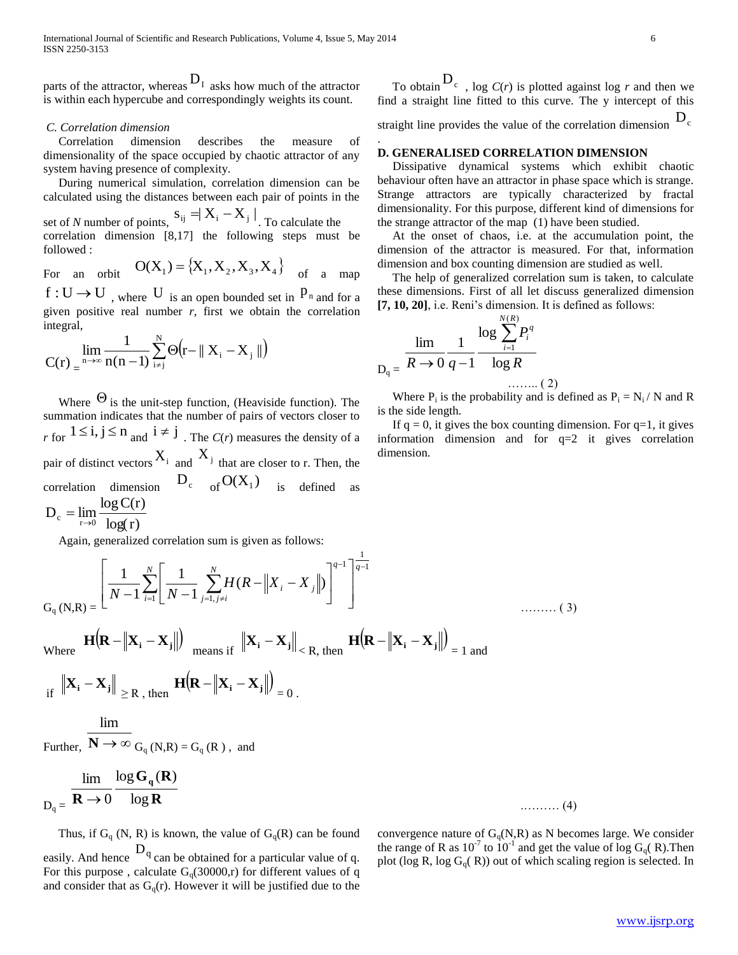parts of the attractor, whereas  $D_1$  asks how much of the attractor is within each hypercube and correspondingly weights its count.

# *C. Correlation dimension*

 Correlation dimension describes the measure of dimensionality of the space occupied by chaotic attractor of any system having presence of complexity.

 During numerical simulation, correlation dimension can be calculated using the distances between each pair of points in the

set of *N* number of points,  $S_{ij} = X_i - X_j \mid$ . To calculate the correlation dimension [8,17] the following steps must be followed :

For an orbit 
$$
O(X_1) = \{X_1, X_2, X_3, X_4\}
$$
 of a map

 $f: U \to U$ , where U is an open bounded set in  $P_n$  and for a given positive real number  $r$ , first we obtain the correlation integral,

$$
C(r) = \lim_{n \to \infty} \frac{1}{n(n-1)} \sum_{i \neq j}^{N} \Theta(r - || X_i - X_j ||)
$$

Where  $\Theta$  is the unit-step function, (Heaviside function). The summation indicates that the number of pairs of vectors closer to *r* for  $1 \le i, j \le n$  and  $i \ne j$ . The *C*(*r*) measures the density of a pair of distinct vectors  $X_i$  and  $X_j$  that are closer to r. Then, the correlation dimension  $D_c$  of  $O(X_1)$ is defined as  $log(r)$  $D_c = \lim_{r \to 0} \frac{\log C(r)}{\log(r)}$ 

Again, generalized correlation sum is given as follows:

$$
G_{q}(N,R) = \left[\frac{1}{N-1}\sum_{i=1}^{N}\left[\frac{1}{N-1}\sum_{j=1,\,j\neq i}^{N}H(R-\left\|X_{i}-X_{j}\right\|)\right]^{q-1}\right]^{\frac{1}{q-1}}
$$
\n........(3)

$$
\text{Where } \mathbf{H}(\mathbf{R} - \|\mathbf{X_i} - \mathbf{X_j}\|) \text{ means if } \|\mathbf{X_i} - \mathbf{X_j}\|_{< R, \text{ then }} \mathbf{H}(\mathbf{R} - \|\mathbf{X_i} - \mathbf{X_j}\|) = 1 \text{ and}
$$

$$
\inf_{\text{if}} \|\mathbf{X}_{\mathbf{i}} - \mathbf{X}_{\mathbf{j}}\|_{\geq R, \text{ then }} \mathbf{H}(\mathbf{R} - \|\mathbf{X}_{\mathbf{i}} - \mathbf{X}_{\mathbf{j}}\|)_{=0}.
$$

lim

Further,  $\mathbf{N} \to \infty$  G<sub>q</sub> (N,R) = G<sub>q</sub> (R), and

$$
\lim_{D_q =}\frac{\lim_{\mathbf{R}\to 0} \log \mathbf{G}_q(\mathbf{R})}{\log \mathbf{R}}
$$
........(4)

Thus, if  $G_q$  (N, R) is known, the value of  $G_q(R)$  can be found easily. And hence  $D_q$  can be obtained for a particular value of q. For this purpose, calculate  $G<sub>0</sub>(30000,r)$  for different values of q and consider that as  $G_q(r)$ . However it will be justified due to the

To obtain  $D_c$ , log  $C(r)$  is plotted against log *r* and then we find a straight line fitted to this curve. The y intercept of this straight line provides the value of the correlation dimension  $\mathbf{D}_c$ 

# **D. GENERALISED CORRELATION DIMENSION**

 Dissipative dynamical systems which exhibit chaotic behaviour often have an attractor in phase space which is strange. Strange attractors are typically characterized by fractal dimensionality. For this purpose, different kind of dimensions for the strange attractor of the map (1) have been studied.

 At the onset of chaos, i.e. at the accumulation point, the dimension of the attractor is measured. For that, information dimension and box counting dimension are studied as well.

 The help of generalized correlation sum is taken, to calculate these dimensions. First of all let discuss generalized dimension **[7, 10, 20]**, i.e. Reni's dimension. It is defined as follows:

$$
\lim_{D_q = R \to 0} \frac{1}{q-1} \frac{\log \sum_{i=1}^{N(R)} P_i^q}{\log R}
$$
........(2)

.

Where  $P_i$  is the probability and is defined as  $P_i = N_i / N$  and R is the side length.

If  $q = 0$ , it gives the box counting dimension. For  $q=1$ , it gives information dimension and for  $q=2$  it gives correlation dimension.

convergence nature of  $G<sub>0</sub>(N,R)$  as N becomes large. We consider the range of R as  $10^{-7}$  to  $10^{-1}$  and get the value of log G<sub>q</sub>(R). Then plot (log R, log  $G_q(R)$ ) out of which scaling region is selected. In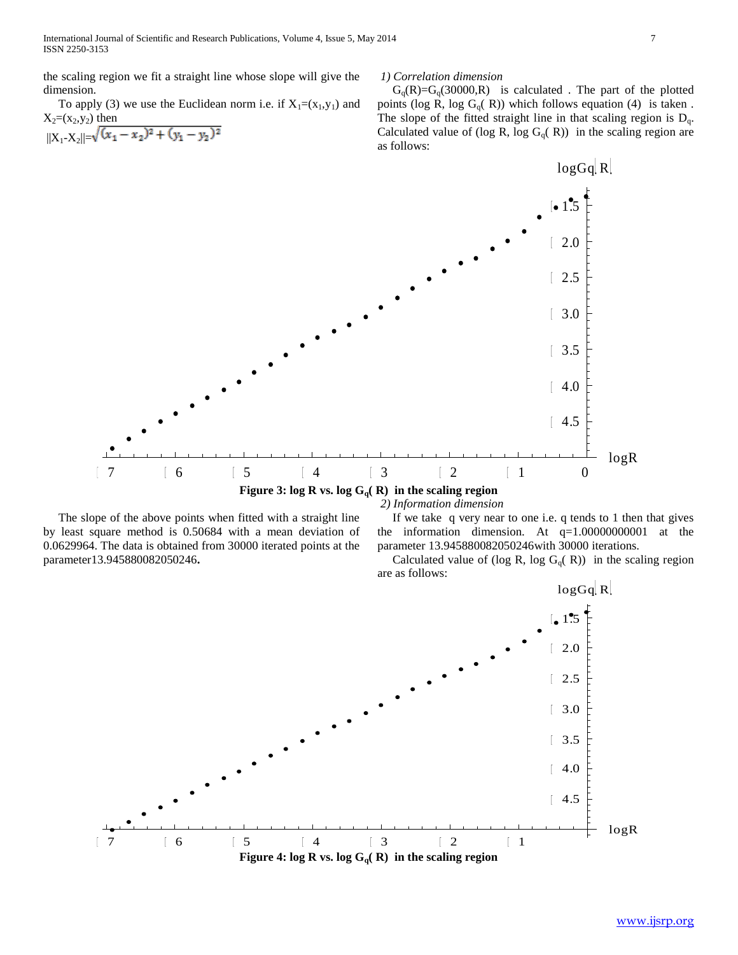the scaling region we fit a straight line whose slope will give the dimension.

To apply (3) we use the Euclidean norm i.e. if  $X_1=(x_1,y_1)$  and  $X_2=(x_2,y_2)$  then

$$
||X_1 - X_2|| = \sqrt{(x_1 - x_2)^2 + (y_1 - y_2)^2}
$$

#### *1) Correlation dimension*

 $G_q(R)=G_q(30000,R)$  is calculated. The part of the plotted points (log R, log G<sub>q</sub>( R)) which follows equation (4) is taken. The slope of the fitted straight line in that scaling region is  $D_q$ . Calculated value of (log R, log  $G_q(R)$ ) in the scaling region are as follows:



 The slope of the above points when fitted with a straight line by least square method is 0.50684 with a mean deviation of 0.0629964. The data is obtained from 30000 iterated points at the parameter13.945880082050246**.**

*2) Information dimension*

 If we take q very near to one i.e. q tends to 1 then that gives the information dimension. At  $q=1.00000000001$  at the parameter 13.945880082050246with 30000 iterations.

Calculated value of (log R, log  $G_q(R)$ ) in the scaling region are as follows:

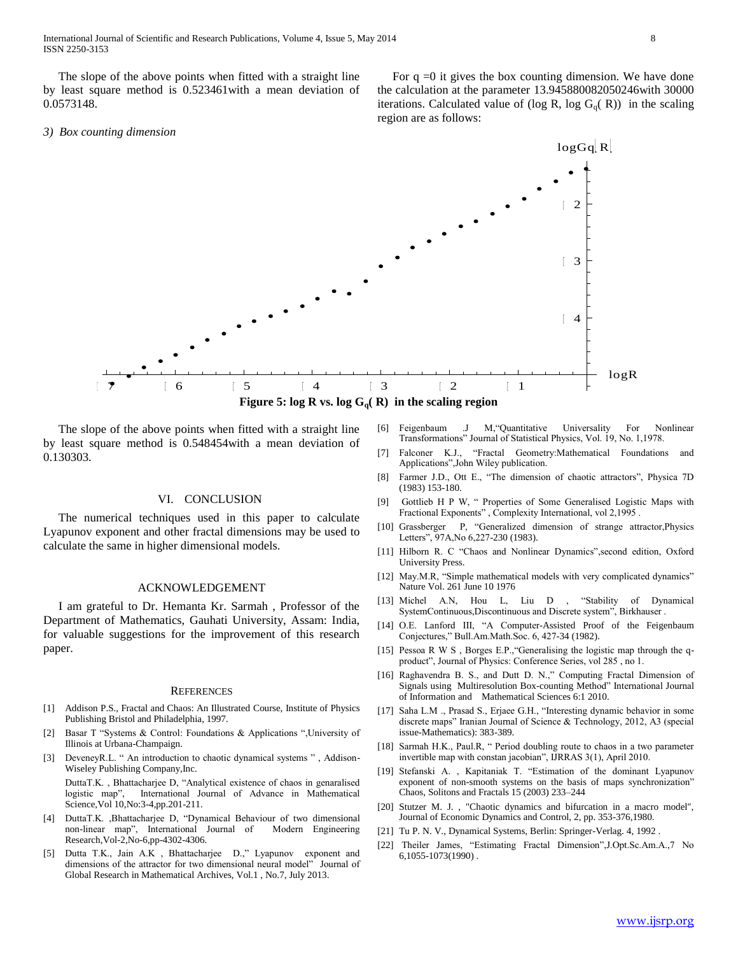The slope of the above points when fitted with a straight line by least square method is 0.523461with a mean deviation of 0.0573148.

#### *3) Box counting dimension*

For  $q = 0$  it gives the box counting dimension. We have done the calculation at the parameter 13.945880082050246with 30000 iterations. Calculated value of (log R, log  $G_q(R)$ ) in the scaling region are as follows:

 $logGa$ <sub>R</sub>

# $\mathcal{D}$ 3 L 4 logR 7 6 5 4 3 2 1 **Figure 5:** log **R** vs. log  $G_q(R)$  in the scaling region

 The slope of the above points when fitted with a straight line by least square method is 0.548454with a mean deviation of 0.130303.

#### VI. CONCLUSION

 The numerical techniques used in this paper to calculate Lyapunov exponent and other fractal dimensions may be used to calculate the same in higher dimensional models.

#### ACKNOWLEDGEMENT

 I am grateful to Dr. Hemanta Kr. Sarmah , Professor of the Department of Mathematics, Gauhati University, Assam: India, for valuable suggestions for the improvement of this research paper.

#### **REFERENCES**

- [1] Addison P.S., Fractal and Chaos: An Illustrated Course, Institute of Physics Publishing Bristol and Philadelphia, 1997.
- [2] Basar T "Systems & Control: Foundations & Applications ",University of Illinois at Urbana-Champaign.
- [3] DeveneyR.L. " An introduction to chaotic dynamical systems ", Addison-Wiseley Publishing Company,Inc.

DuttaT.K. , Bhattacharjee D, "Analytical existence of chaos in genaralised logistic map", International Journal of Advance in Mathematical Science,Vol 10,No:3-4,pp.201-211.

- [4] DuttaT.K. ,Bhattacharjee D, "Dynamical Behaviour of two dimensional non-linear map", International Journal of Modern Engineering Research,Vol-2,No-6,pp-4302-4306.
- [5] Dutta T.K., Jain A.K , Bhattacharjee D.," Lyapunov exponent and dimensions of the attractor for two dimensional neural model" Journal of Global Research in Mathematical Archives, Vol.1 , No.7, July 2013.
- [6] Feigenbaum .J M,"Quantitative Universality For Nonlinear Transformations" Journal of Statistical Physics, Vol. 19, No. 1,1978.
- [7] Falconer K.J., "Fractal Geometry:Mathematical Foundations and Applications",John Wiley publication.
- [8] Farmer J.D., Ott E., "The dimension of chaotic attractors", Physica 7D (1983) 153-180.
- [9] Gottlieb H P W, " Properties of Some Generalised Logistic Maps with Fractional Exponents" , Complexity International, vol 2,1995 .
- [10] Grassberger P, "Generalized dimension of strange attractor,Physics Letters", 97A,No 6,227-230 (1983).
- [11] Hilborn R. C "Chaos and Nonlinear Dynamics",second edition, Oxford University Press.
- [12] May.M.R, "Simple mathematical models with very complicated dynamics" Nature Vol. 261 June 10 1976
- [13] Michel A.N, Hou L, Liu D , "Stability of Dynamical SystemContinuous,Discontinuous and Discrete system", Birkhauser .
- [14] O.E. Lanford III, "A Computer-Assisted Proof of the Feigenbaum Conjectures," Bull.Am.Math.Soc. 6, 427-34 (1982).
- [15] Pessoa R W S, Borges E.P., "Generalising the logistic map through the qproduct", Journal of Physics: Conference Series, vol 285 , no 1.
- [16] Raghavendra B. S., and Dutt D. N.," Computing Fractal Dimension of Signals using Multiresolution Box-counting Method" International Journal of Information and Mathematical Sciences 6:1 2010.
- [17] Saha L.M ., Prasad S., Erjaee G.H., "Interesting dynamic behavior in some discrete maps" Iranian Journal of Science & Technology, 2012, A3 (special issue-Mathematics): 383-389.
- [18] Sarmah H.K., Paul.R, " Period doubling route to chaos in a two parameter invertible map with constan jacobian", IJRRAS 3(1), April 2010.
- [19] Stefanski A. , Kapitaniak T. "Estimation of the dominant Lyapunov exponent of non-smooth systems on the basis of maps synchronization" Chaos, Solitons and Fractals 15 (2003) 233–244
- [20] Stutzer M. J., "Chaotic dynamics and bifurcation in a macro model", Journal of Economic Dynamics and Control, 2, pp. 353-376,1980.
- [21] Tu P. N. V., Dynamical Systems, Berlin: Springer-Verlag. 4, 1992 .
- [22] Theiler James, "Estimating Fractal Dimension",J.Opt.Sc.Am.A.,7 No 6,1055-1073(1990) .